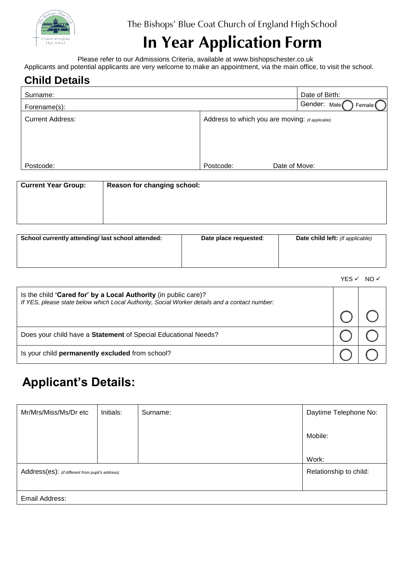

## **In Year Application Form**

Please refer to our Admissions Criteria, available at [www.bishopschester.co.uk](http://www.bishopschester.co.uk/) Applicants and potential applicants are very welcome to make an appointment, via the main office, to visit the school.

## **Child Details**

| Surname:                                                                    |           | Date of Birth:           |
|-----------------------------------------------------------------------------|-----------|--------------------------|
| Forename(s):                                                                |           | Gender: Male<br>Female ( |
| <b>Current Address:</b><br>Address to which you are moving: (if applicable) |           |                          |
|                                                                             |           |                          |
|                                                                             |           |                          |
| Postcode:                                                                   | Postcode: | Date of Move:            |
|                                                                             |           |                          |

| <b>Current Year Group:</b> | Reason for changing school: |
|----------------------------|-----------------------------|
|                            |                             |
|                            |                             |
|                            |                             |

| School currently attending/ last school attended: | Date place requested: | Date child left: (if applicable) |
|---------------------------------------------------|-----------------------|----------------------------------|
|                                                   |                       |                                  |
|                                                   |                       |                                  |

| NO √<br>YES ✓ |
|---------------|
|---------------|

| Is the child 'Cared for' by a Local Authority (in public care)?<br>If YES, please state below which Local Authority, Social Worker details and a contact number: |  |
|------------------------------------------------------------------------------------------------------------------------------------------------------------------|--|
|                                                                                                                                                                  |  |
| Does your child have a Statement of Special Educational Needs?                                                                                                   |  |
| Is your child permanently excluded from school?                                                                                                                  |  |

## **Applicant's Details:**

| Mr/Mrs/Miss/Ms/Dr etc                            | Initials: | Surname: | Daytime Telephone No:  |
|--------------------------------------------------|-----------|----------|------------------------|
|                                                  |           |          | Mobile:                |
|                                                  |           |          | Work:                  |
| Address(es): (if different from pupil's address) |           |          | Relationship to child: |
| Email Address:                                   |           |          |                        |